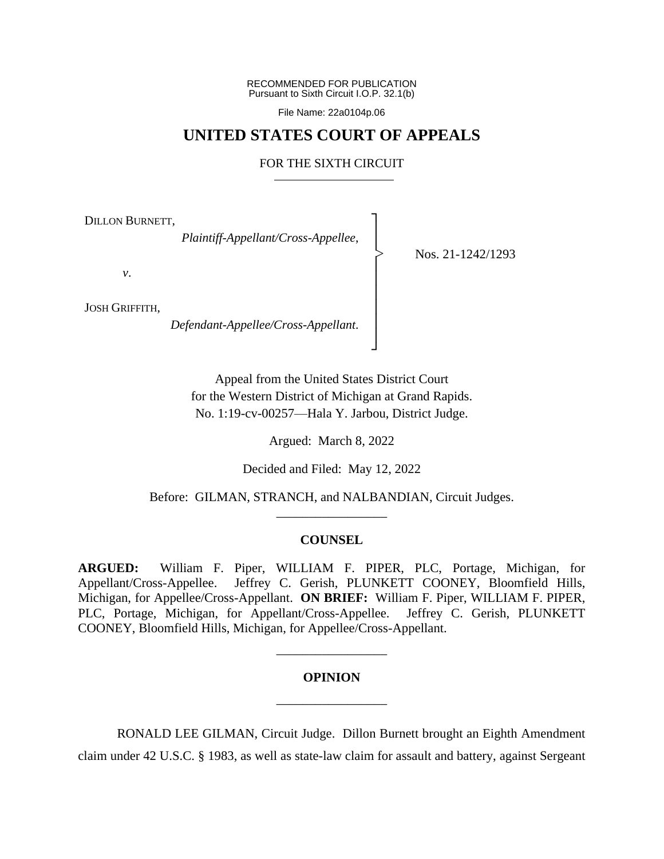RECOMMENDED FOR PUBLICATION Pursuant to Sixth Circuit I.O.P. 32.1(b)

File Name: 22a0104p.06

# **UNITED STATES COURT OF APPEALS**

#### FOR THE SIXTH CIRCUIT

┐ │ │ │ │ │ │ │ │ ┘

|<br>|<br>|

DILLON BURNETT,

*Plaintiff-Appellant/Cross-Appellee*,

Nos. 21-1242/1293

*v*.

JOSH GRIFFITH,

*Defendant-Appellee/Cross-Appellant*.

Appeal from the United States District Court for the Western District of Michigan at Grand Rapids. No. 1:19-cv-00257—Hala Y. Jarbou, District Judge.

Argued: March 8, 2022

Decided and Filed: May 12, 2022

Before: GILMAN, STRANCH, and NALBANDIAN, Circuit Judges. \_\_\_\_\_\_\_\_\_\_\_\_\_\_\_\_\_

#### **COUNSEL**

**ARGUED:** William F. Piper, WILLIAM F. PIPER, PLC, Portage, Michigan, for Appellant/Cross-Appellee. Jeffrey C. Gerish, PLUNKETT COONEY, Bloomfield Hills, Michigan, for Appellee/Cross-Appellant. **ON BRIEF:** William F. Piper, WILLIAM F. PIPER, PLC, Portage, Michigan, for Appellant/Cross-Appellee. Jeffrey C. Gerish, PLUNKETT COONEY, Bloomfield Hills, Michigan, for Appellee/Cross-Appellant.

# **OPINION** \_\_\_\_\_\_\_\_\_\_\_\_\_\_\_\_\_

\_\_\_\_\_\_\_\_\_\_\_\_\_\_\_\_\_

RONALD LEE GILMAN, Circuit Judge. Dillon Burnett brought an Eighth Amendment claim under 42 U.S.C. § 1983, as well as state-law claim for assault and battery, against Sergeant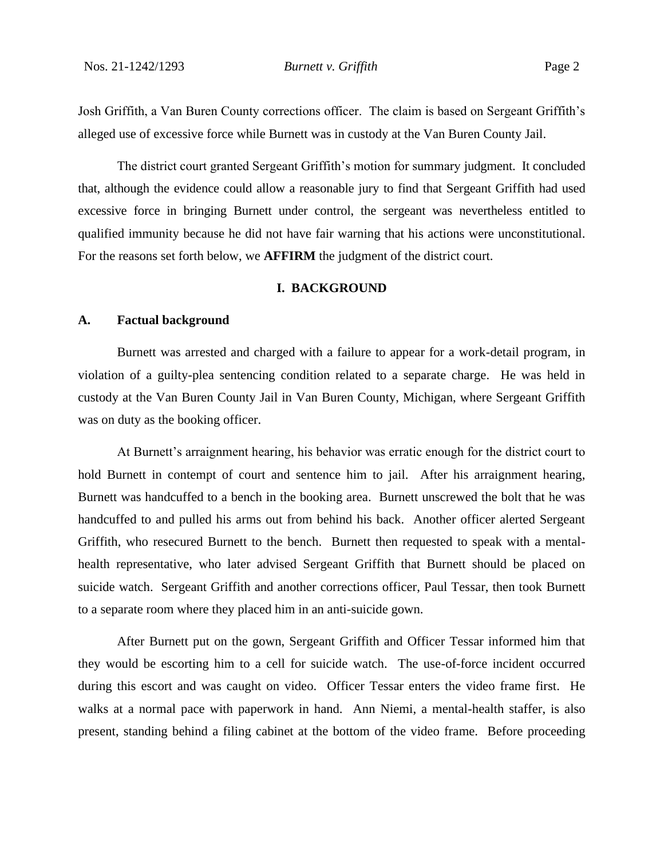Josh Griffith, a Van Buren County corrections officer. The claim is based on Sergeant Griffith's alleged use of excessive force while Burnett was in custody at the Van Buren County Jail.

The district court granted Sergeant Griffith's motion for summary judgment. It concluded that, although the evidence could allow a reasonable jury to find that Sergeant Griffith had used excessive force in bringing Burnett under control, the sergeant was nevertheless entitled to qualified immunity because he did not have fair warning that his actions were unconstitutional. For the reasons set forth below, we **AFFIRM** the judgment of the district court.

## **I. BACKGROUND**

#### **A. Factual background**

Burnett was arrested and charged with a failure to appear for a work-detail program, in violation of a guilty-plea sentencing condition related to a separate charge. He was held in custody at the Van Buren County Jail in Van Buren County, Michigan, where Sergeant Griffith was on duty as the booking officer.

At Burnett's arraignment hearing, his behavior was erratic enough for the district court to hold Burnett in contempt of court and sentence him to jail. After his arraignment hearing, Burnett was handcuffed to a bench in the booking area. Burnett unscrewed the bolt that he was handcuffed to and pulled his arms out from behind his back. Another officer alerted Sergeant Griffith, who resecured Burnett to the bench. Burnett then requested to speak with a mentalhealth representative, who later advised Sergeant Griffith that Burnett should be placed on suicide watch. Sergeant Griffith and another corrections officer, Paul Tessar, then took Burnett to a separate room where they placed him in an anti-suicide gown.

After Burnett put on the gown, Sergeant Griffith and Officer Tessar informed him that they would be escorting him to a cell for suicide watch. The use-of-force incident occurred during this escort and was caught on video. Officer Tessar enters the video frame first. He walks at a normal pace with paperwork in hand. Ann Niemi, a mental-health staffer, is also present, standing behind a filing cabinet at the bottom of the video frame. Before proceeding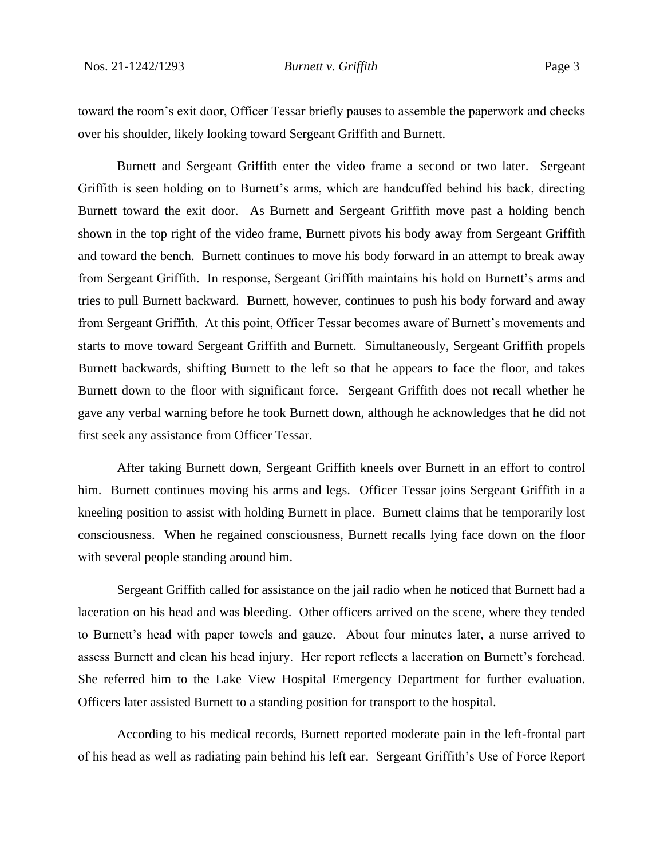toward the room's exit door, Officer Tessar briefly pauses to assemble the paperwork and checks over his shoulder, likely looking toward Sergeant Griffith and Burnett.

Burnett and Sergeant Griffith enter the video frame a second or two later. Sergeant Griffith is seen holding on to Burnett's arms, which are handcuffed behind his back, directing Burnett toward the exit door. As Burnett and Sergeant Griffith move past a holding bench shown in the top right of the video frame, Burnett pivots his body away from Sergeant Griffith and toward the bench. Burnett continues to move his body forward in an attempt to break away from Sergeant Griffith. In response, Sergeant Griffith maintains his hold on Burnett's arms and tries to pull Burnett backward. Burnett, however, continues to push his body forward and away from Sergeant Griffith. At this point, Officer Tessar becomes aware of Burnett's movements and starts to move toward Sergeant Griffith and Burnett. Simultaneously, Sergeant Griffith propels Burnett backwards, shifting Burnett to the left so that he appears to face the floor, and takes Burnett down to the floor with significant force. Sergeant Griffith does not recall whether he gave any verbal warning before he took Burnett down, although he acknowledges that he did not first seek any assistance from Officer Tessar.

After taking Burnett down, Sergeant Griffith kneels over Burnett in an effort to control him. Burnett continues moving his arms and legs. Officer Tessar joins Sergeant Griffith in a kneeling position to assist with holding Burnett in place. Burnett claims that he temporarily lost consciousness. When he regained consciousness, Burnett recalls lying face down on the floor with several people standing around him.

Sergeant Griffith called for assistance on the jail radio when he noticed that Burnett had a laceration on his head and was bleeding. Other officers arrived on the scene, where they tended to Burnett's head with paper towels and gauze. About four minutes later, a nurse arrived to assess Burnett and clean his head injury. Her report reflects a laceration on Burnett's forehead. She referred him to the Lake View Hospital Emergency Department for further evaluation. Officers later assisted Burnett to a standing position for transport to the hospital.

According to his medical records, Burnett reported moderate pain in the left-frontal part of his head as well as radiating pain behind his left ear. Sergeant Griffith's Use of Force Report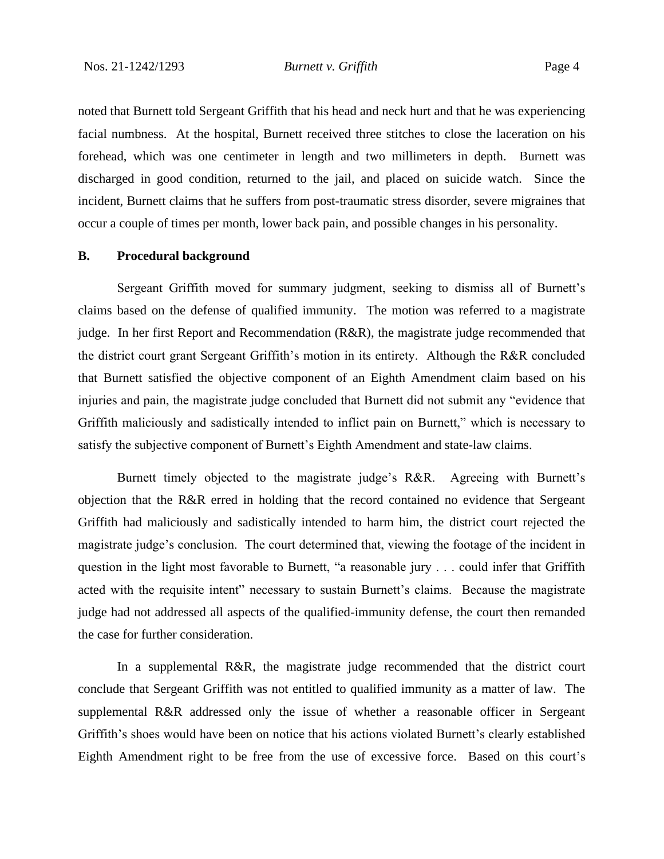noted that Burnett told Sergeant Griffith that his head and neck hurt and that he was experiencing facial numbness. At the hospital, Burnett received three stitches to close the laceration on his forehead, which was one centimeter in length and two millimeters in depth. Burnett was discharged in good condition, returned to the jail, and placed on suicide watch. Since the incident, Burnett claims that he suffers from post-traumatic stress disorder, severe migraines that occur a couple of times per month, lower back pain, and possible changes in his personality.

## **B. Procedural background**

Sergeant Griffith moved for summary judgment, seeking to dismiss all of Burnett's claims based on the defense of qualified immunity. The motion was referred to a magistrate judge. In her first Report and Recommendation (R&R), the magistrate judge recommended that the district court grant Sergeant Griffith's motion in its entirety. Although the R&R concluded that Burnett satisfied the objective component of an Eighth Amendment claim based on his injuries and pain, the magistrate judge concluded that Burnett did not submit any "evidence that Griffith maliciously and sadistically intended to inflict pain on Burnett," which is necessary to satisfy the subjective component of Burnett's Eighth Amendment and state-law claims.

Burnett timely objected to the magistrate judge's R&R. Agreeing with Burnett's objection that the R&R erred in holding that the record contained no evidence that Sergeant Griffith had maliciously and sadistically intended to harm him, the district court rejected the magistrate judge's conclusion. The court determined that, viewing the footage of the incident in question in the light most favorable to Burnett, "a reasonable jury . . . could infer that Griffith acted with the requisite intent" necessary to sustain Burnett's claims. Because the magistrate judge had not addressed all aspects of the qualified-immunity defense, the court then remanded the case for further consideration.

In a supplemental R&R, the magistrate judge recommended that the district court conclude that Sergeant Griffith was not entitled to qualified immunity as a matter of law. The supplemental R&R addressed only the issue of whether a reasonable officer in Sergeant Griffith's shoes would have been on notice that his actions violated Burnett's clearly established Eighth Amendment right to be free from the use of excessive force. Based on this court's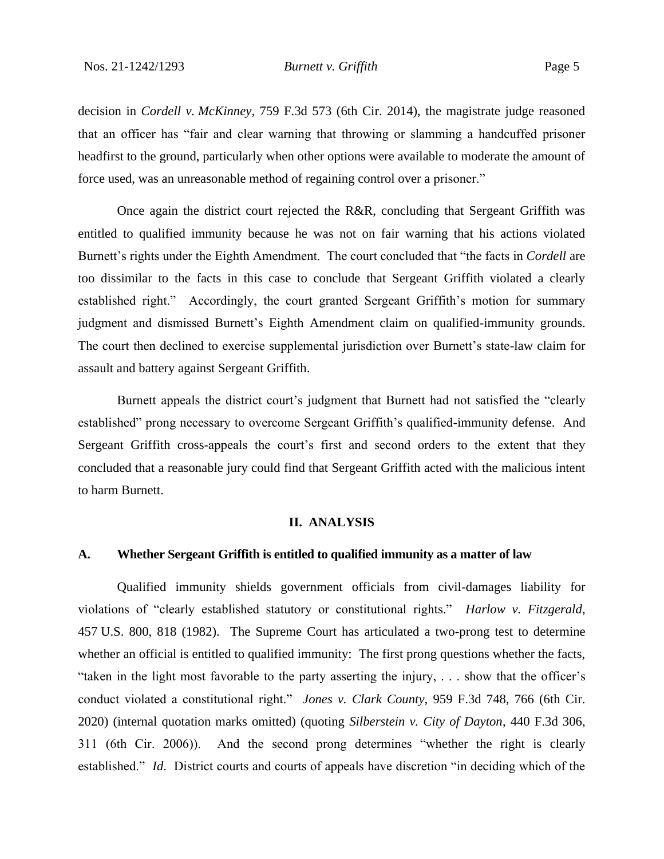decision in *Cordell v. McKinney*, 759 F.3d 573 (6th Cir. 2014), the magistrate judge reasoned that an officer has "fair and clear warning that throwing or slamming a handcuffed prisoner headfirst to the ground, particularly when other options were available to moderate the amount of force used, was an unreasonable method of regaining control over a prisoner."

Once again the district court rejected the R&R, concluding that Sergeant Griffith was entitled to qualified immunity because he was not on fair warning that his actions violated Burnett's rights under the Eighth Amendment. The court concluded that "the facts in *Cordell* are too dissimilar to the facts in this case to conclude that Sergeant Griffith violated a clearly established right." Accordingly, the court granted Sergeant Griffith's motion for summary judgment and dismissed Burnett's Eighth Amendment claim on qualified-immunity grounds. The court then declined to exercise supplemental jurisdiction over Burnett's state-law claim for assault and battery against Sergeant Griffith.

Burnett appeals the district court's judgment that Burnett had not satisfied the "clearly established" prong necessary to overcome Sergeant Griffith's qualified-immunity defense. And Sergeant Griffith cross-appeals the court's first and second orders to the extent that they concluded that a reasonable jury could find that Sergeant Griffith acted with the malicious intent to harm Burnett.

#### **II. ANALYSIS**

## **A. Whether Sergeant Griffith is entitled to qualified immunity as a matter of law**

Qualified immunity shields government officials from civil-damages liability for violations of "clearly established statutory or constitutional rights." *Harlow v. Fitzgerald*, 457 U.S. 800, 818 (1982). The Supreme Court has articulated a two-prong test to determine whether an official is entitled to qualified immunity: The first prong questions whether the facts, "taken in the light most favorable to the party asserting the injury, . . . show that the officer's conduct violated a constitutional right." *Jones v. Clark County*, 959 F.3d 748, 766 (6th Cir. 2020) (internal quotation marks omitted) (quoting *Silberstein v. City of Dayton*, 440 F.3d 306, 311 (6th Cir. 2006)). And the second prong determines "whether the right is clearly established." *Id*. District courts and courts of appeals have discretion "in deciding which of the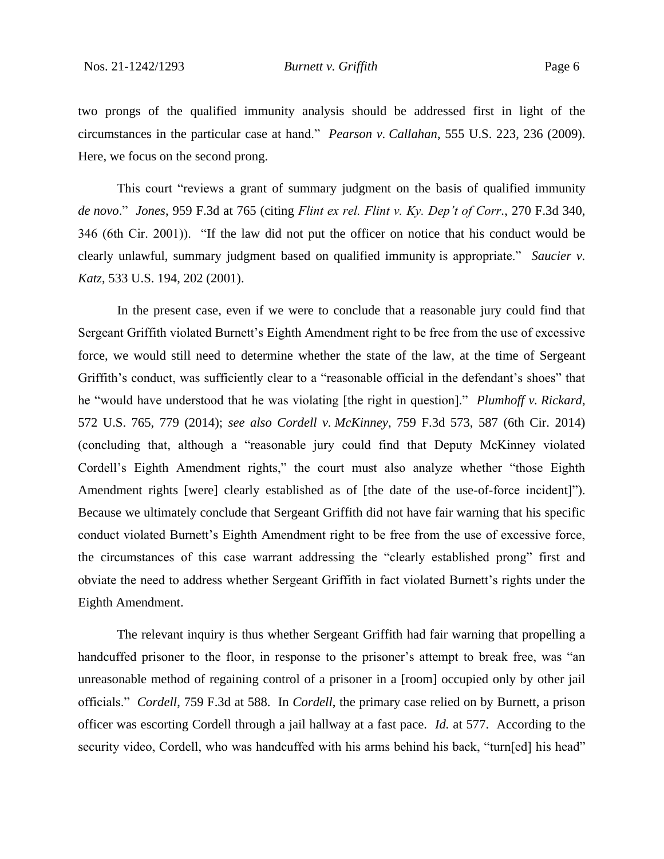two prongs of the qualified immunity analysis should be addressed first in light of the circumstances in the particular case at hand." *Pearson v. Callahan*, 555 U.S. 223, 236 (2009). Here, we focus on the second prong.

This court "reviews a grant of summary judgment on the basis of qualified immunity *de novo*." *Jones*, 959 F.3d at 765 (citing *Flint ex rel. Flint v. Ky. Dep't of Corr.*, 270 F.3d 340, 346 (6th Cir. 2001)). "If the law did not put the officer on notice that his conduct would be clearly unlawful, summary judgment based on qualified immunity is appropriate." *Saucier v. Katz*, 533 U.S. 194, 202 (2001).

In the present case, even if we were to conclude that a reasonable jury could find that Sergeant Griffith violated Burnett's Eighth Amendment right to be free from the use of excessive force, we would still need to determine whether the state of the law, at the time of Sergeant Griffith's conduct, was sufficiently clear to a "reasonable official in the defendant's shoes" that he "would have understood that he was violating [the right in question]." *Plumhoff v. Rickard*, 572 U.S. 765, 779 (2014); *see also Cordell v. McKinney*, 759 F.3d 573, 587 (6th Cir. 2014) (concluding that, although a "reasonable jury could find that Deputy McKinney violated Cordell's Eighth Amendment rights," the court must also analyze whether "those Eighth Amendment rights [were] clearly established as of [the date of the use-of-force incident]"). Because we ultimately conclude that Sergeant Griffith did not have fair warning that his specific conduct violated Burnett's Eighth Amendment right to be free from the use of excessive force, the circumstances of this case warrant addressing the "clearly established prong" first and obviate the need to address whether Sergeant Griffith in fact violated Burnett's rights under the Eighth Amendment.

The relevant inquiry is thus whether Sergeant Griffith had fair warning that propelling a handcuffed prisoner to the floor, in response to the prisoner's attempt to break free, was "an unreasonable method of regaining control of a prisoner in a [room] occupied only by other jail officials." *Cordell*, 759 F.3d at 588. In *Cordell*, the primary case relied on by Burnett, a prison officer was escorting Cordell through a jail hallway at a fast pace. *Id.* at 577. According to the security video, Cordell, who was handcuffed with his arms behind his back, "turn[ed] his head"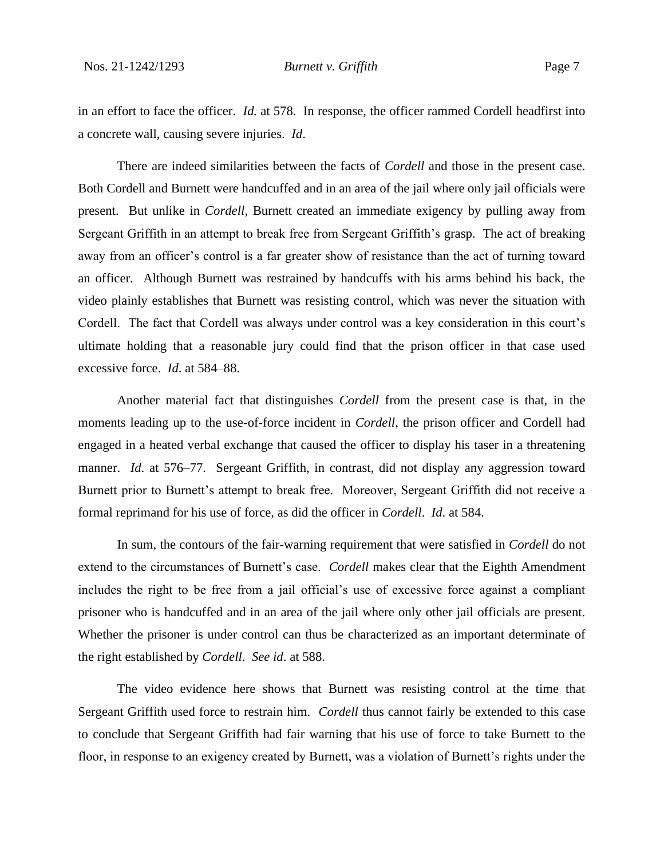in an effort to face the officer. *Id.* at 578. In response, the officer rammed Cordell headfirst into a concrete wall, causing severe injuries. *Id*.

There are indeed similarities between the facts of *Cordell* and those in the present case. Both Cordell and Burnett were handcuffed and in an area of the jail where only jail officials were present. But unlike in *Cordell*, Burnett created an immediate exigency by pulling away from Sergeant Griffith in an attempt to break free from Sergeant Griffith's grasp. The act of breaking away from an officer's control is a far greater show of resistance than the act of turning toward an officer. Although Burnett was restrained by handcuffs with his arms behind his back, the video plainly establishes that Burnett was resisting control, which was never the situation with Cordell. The fact that Cordell was always under control was a key consideration in this court's ultimate holding that a reasonable jury could find that the prison officer in that case used excessive force. *Id*. at 584–88.

Another material fact that distinguishes *Cordell* from the present case is that, in the moments leading up to the use-of-force incident in *Cordell*, the prison officer and Cordell had engaged in a heated verbal exchange that caused the officer to display his taser in a threatening manner. *Id*. at 576–77. Sergeant Griffith, in contrast, did not display any aggression toward Burnett prior to Burnett's attempt to break free. Moreover, Sergeant Griffith did not receive a formal reprimand for his use of force, as did the officer in *Cordell*. *Id*. at 584.

In sum, the contours of the fair-warning requirement that were satisfied in *Cordell* do not extend to the circumstances of Burnett's case. *Cordell* makes clear that the Eighth Amendment includes the right to be free from a jail official's use of excessive force against a compliant prisoner who is handcuffed and in an area of the jail where only other jail officials are present. Whether the prisoner is under control can thus be characterized as an important determinate of the right established by *Cordell*. *See id*. at 588.

The video evidence here shows that Burnett was resisting control at the time that Sergeant Griffith used force to restrain him. *Cordell* thus cannot fairly be extended to this case to conclude that Sergeant Griffith had fair warning that his use of force to take Burnett to the floor, in response to an exigency created by Burnett, was a violation of Burnett's rights under the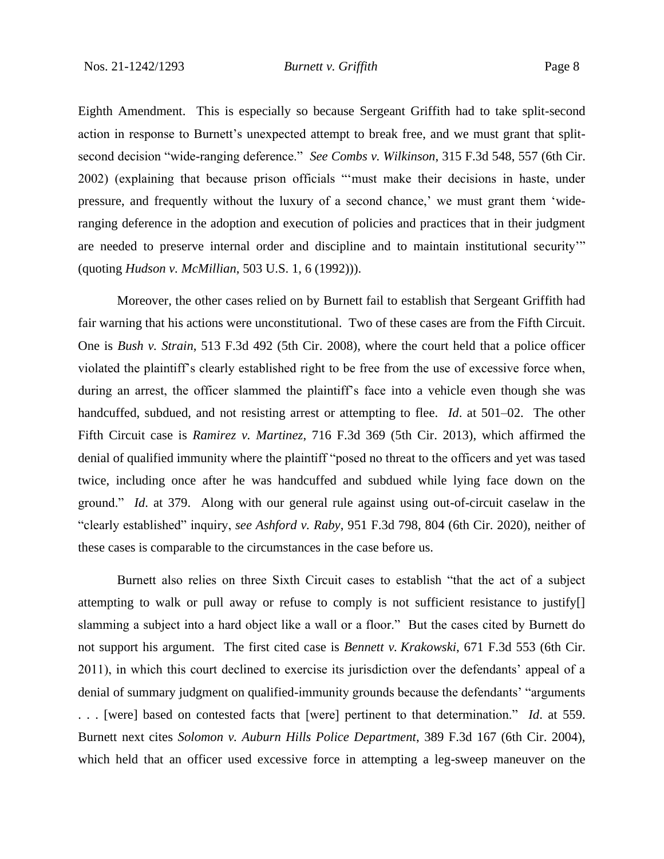Eighth Amendment. This is especially so because Sergeant Griffith had to take split-second action in response to Burnett's unexpected attempt to break free, and we must grant that splitsecond decision "wide-ranging deference." *See Combs v. Wilkinson*, 315 F.3d 548, 557 (6th Cir. 2002) (explaining that because prison officials "'must make their decisions in haste, under pressure, and frequently without the luxury of a second chance,' we must grant them 'wideranging deference in the adoption and execution of policies and practices that in their judgment are needed to preserve internal order and discipline and to maintain institutional security'" (quoting *Hudson v. McMillian*, 503 U.S. 1, 6 (1992))).

Moreover, the other cases relied on by Burnett fail to establish that Sergeant Griffith had fair warning that his actions were unconstitutional. Two of these cases are from the Fifth Circuit. One is *Bush v. Strain*, 513 F.3d 492 (5th Cir. 2008), where the court held that a police officer violated the plaintiff's clearly established right to be free from the use of excessive force when, during an arrest, the officer slammed the plaintiff's face into a vehicle even though she was handcuffed, subdued, and not resisting arrest or attempting to flee. *Id*. at 501–02. The other Fifth Circuit case is *Ramirez v. Martinez*, 716 F.3d 369 (5th Cir. 2013), which affirmed the denial of qualified immunity where the plaintiff "posed no threat to the officers and yet was tased twice, including once after he was handcuffed and subdued while lying face down on the ground." *Id*. at 379. Along with our general rule against using out-of-circuit caselaw in the "clearly established" inquiry, *see Ashford v. Raby*, 951 F.3d 798, 804 (6th Cir. 2020), neither of these cases is comparable to the circumstances in the case before us.

Burnett also relies on three Sixth Circuit cases to establish "that the act of a subject attempting to walk or pull away or refuse to comply is not sufficient resistance to justify[] slamming a subject into a hard object like a wall or a floor." But the cases cited by Burnett do not support his argument. The first cited case is *Bennett v. Krakowski*, 671 F.3d 553 (6th Cir. 2011), in which this court declined to exercise its jurisdiction over the defendants' appeal of a denial of summary judgment on qualified-immunity grounds because the defendants' "arguments . . . [were] based on contested facts that [were] pertinent to that determination." *Id*. at 559. Burnett next cites *Solomon v. Auburn Hills Police Department*, 389 F.3d 167 (6th Cir. 2004), which held that an officer used excessive force in attempting a leg-sweep maneuver on the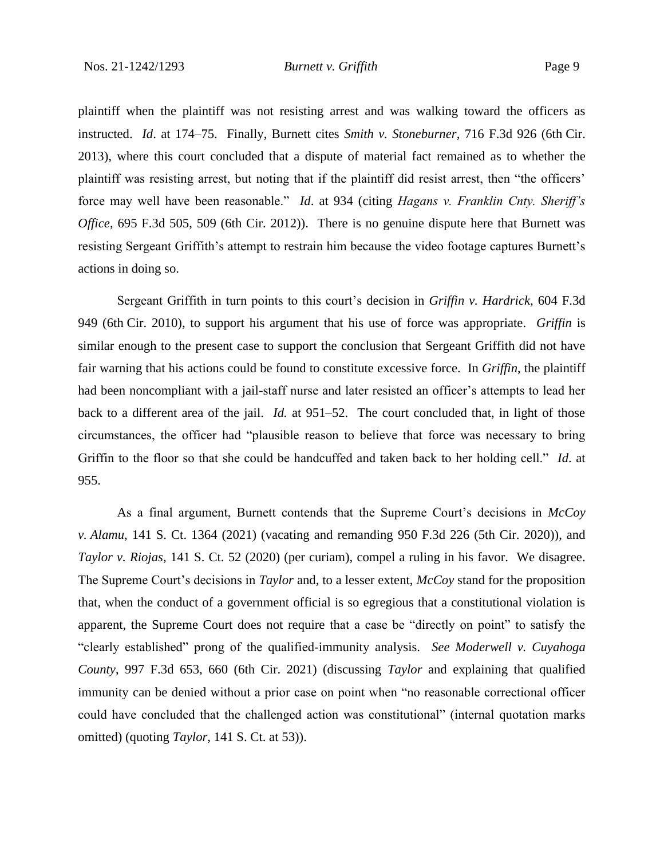plaintiff when the plaintiff was not resisting arrest and was walking toward the officers as instructed. *Id*. at 174–75. Finally, Burnett cites *Smith v. Stoneburner*, 716 F.3d 926 (6th Cir. 2013), where this court concluded that a dispute of material fact remained as to whether the plaintiff was resisting arrest, but noting that if the plaintiff did resist arrest, then "the officers' force may well have been reasonable." *Id*. at 934 (citing *Hagans v. Franklin Cnty. Sheriff's Office*, 695 F.3d 505, 509 (6th Cir. 2012)). There is no genuine dispute here that Burnett was resisting Sergeant Griffith's attempt to restrain him because the video footage captures Burnett's actions in doing so.

Sergeant Griffith in turn points to this court's decision in *Griffin v. Hardrick,* 604 F.3d 949 (6th Cir. 2010), to support his argument that his use of force was appropriate. *Griffin* is similar enough to the present case to support the conclusion that Sergeant Griffith did not have fair warning that his actions could be found to constitute excessive force. In *Griffin*, the plaintiff had been noncompliant with a jail-staff nurse and later resisted an officer's attempts to lead her back to a different area of the jail. *Id.* at 951–52. The court concluded that, in light of those circumstances, the officer had "plausible reason to believe that force was necessary to bring Griffin to the floor so that she could be handcuffed and taken back to her holding cell." *Id*. at 955.

As a final argument, Burnett contends that the Supreme Court's decisions in *McCoy v. Alamu*, 141 S. Ct. 1364 (2021) (vacating and remanding 950 F.3d 226 (5th Cir. 2020)), and *Taylor v. Riojas*, 141 S. Ct. 52 (2020) (per curiam), compel a ruling in his favor. We disagree. The Supreme Court's decisions in *Taylor* and, to a lesser extent, *McCoy* stand for the proposition that, when the conduct of a government official is so egregious that a constitutional violation is apparent, the Supreme Court does not require that a case be "directly on point" to satisfy the "clearly established" prong of the qualified-immunity analysis. *See Moderwell v. Cuyahoga County*, 997 F.3d 653, 660 (6th Cir. 2021) (discussing *Taylor* and explaining that qualified immunity can be denied without a prior case on point when "no reasonable correctional officer could have concluded that the challenged action was constitutional" (internal quotation marks omitted) (quoting *Taylor*, 141 S. Ct. at 53)).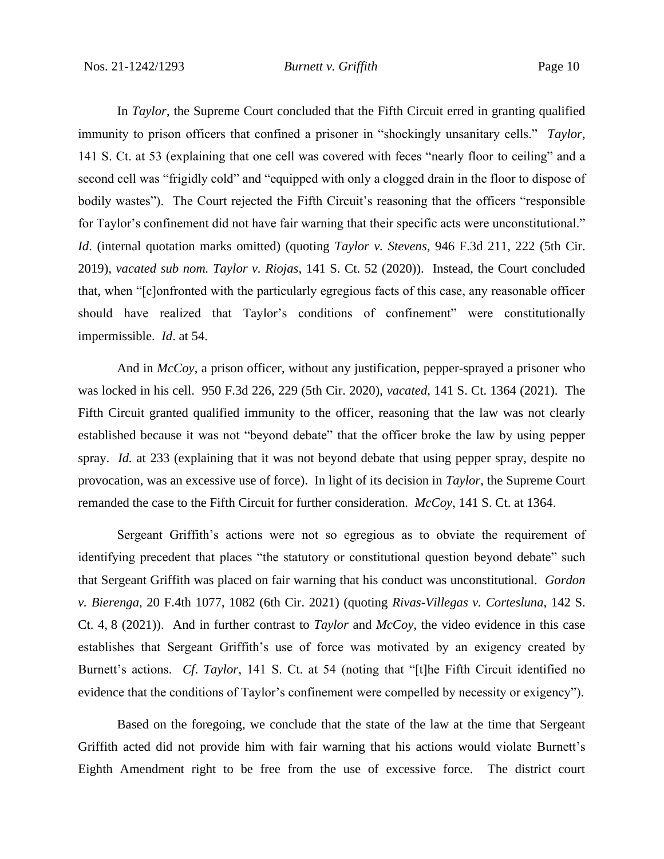In *Taylor*, the Supreme Court concluded that the Fifth Circuit erred in granting qualified immunity to prison officers that confined a prisoner in "shockingly unsanitary cells." *Taylor*, 141 S. Ct. at 53 (explaining that one cell was covered with feces "nearly floor to ceiling" and a second cell was "frigidly cold" and "equipped with only a clogged drain in the floor to dispose of bodily wastes"). The Court rejected the Fifth Circuit's reasoning that the officers "responsible for Taylor's confinement did not have fair warning that their specific acts were unconstitutional." *Id*. (internal quotation marks omitted) (quoting *Taylor v. Stevens*, 946 F.3d 211, 222 (5th Cir. 2019), *vacated sub nom. Taylor v. Riojas*, 141 S. Ct. 52 (2020)). Instead, the Court concluded that, when "[c]onfronted with the particularly egregious facts of this case, any reasonable officer should have realized that Taylor's conditions of confinement" were constitutionally impermissible. *Id*. at 54.

And in *McCoy*, a prison officer, without any justification, pepper-sprayed a prisoner who was locked in his cell. 950 F.3d 226, 229 (5th Cir. 2020), *vacated*, 141 S. Ct. 1364 (2021). The Fifth Circuit granted qualified immunity to the officer, reasoning that the law was not clearly established because it was not "beyond debate" that the officer broke the law by using pepper spray. *Id.* at 233 (explaining that it was not beyond debate that using pepper spray, despite no provocation, was an excessive use of force). In light of its decision in *Taylor*, the Supreme Court remanded the case to the Fifth Circuit for further consideration. *McCoy*, 141 S. Ct. at 1364.

Sergeant Griffith's actions were not so egregious as to obviate the requirement of identifying precedent that places "the statutory or constitutional question beyond debate" such that Sergeant Griffith was placed on fair warning that his conduct was unconstitutional. *Gordon v. Bierenga*, 20 F.4th 1077, 1082 (6th Cir. 2021) (quoting *Rivas-Villegas v. Cortesluna*, 142 S. Ct. 4, 8 (2021)). And in further contrast to *Taylor* and *McCoy*, the video evidence in this case establishes that Sergeant Griffith's use of force was motivated by an exigency created by Burnett's actions. *Cf*. *Taylor*, 141 S. Ct. at 54 (noting that "[t]he Fifth Circuit identified no evidence that the conditions of Taylor's confinement were compelled by necessity or exigency").

Based on the foregoing, we conclude that the state of the law at the time that Sergeant Griffith acted did not provide him with fair warning that his actions would violate Burnett's Eighth Amendment right to be free from the use of excessive force. The district court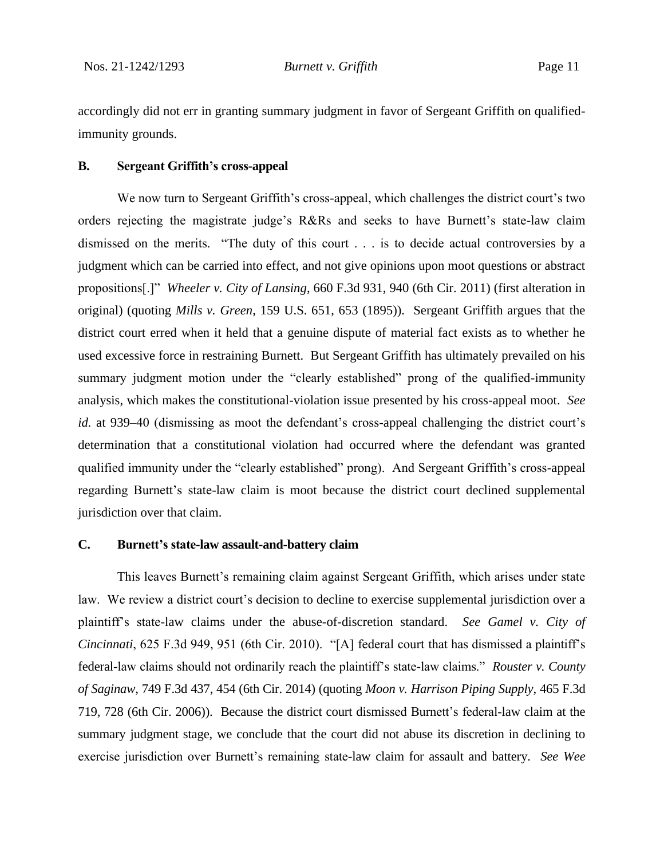accordingly did not err in granting summary judgment in favor of Sergeant Griffith on qualifiedimmunity grounds.

#### **B. Sergeant Griffith's cross-appeal**

We now turn to Sergeant Griffith's cross-appeal, which challenges the district court's two orders rejecting the magistrate judge's R&Rs and seeks to have Burnett's state-law claim dismissed on the merits. "The duty of this court . . . is to decide actual controversies by a judgment which can be carried into effect, and not give opinions upon moot questions or abstract propositions[.]" *Wheeler v. City of Lansing*, 660 F.3d 931, 940 (6th Cir. 2011) (first alteration in original) (quoting *Mills v. Green*, 159 U.S. 651, 653 (1895)). Sergeant Griffith argues that the district court erred when it held that a genuine dispute of material fact exists as to whether he used excessive force in restraining Burnett. But Sergeant Griffith has ultimately prevailed on his summary judgment motion under the "clearly established" prong of the qualified-immunity analysis, which makes the constitutional-violation issue presented by his cross-appeal moot. *See id.* at 939–40 (dismissing as moot the defendant's cross-appeal challenging the district court's determination that a constitutional violation had occurred where the defendant was granted qualified immunity under the "clearly established" prong). And Sergeant Griffith's cross-appeal regarding Burnett's state-law claim is moot because the district court declined supplemental jurisdiction over that claim.

## **C. Burnett's state-law assault-and-battery claim**

This leaves Burnett's remaining claim against Sergeant Griffith, which arises under state law. We review a district court's decision to decline to exercise supplemental jurisdiction over a plaintiff's state-law claims under the abuse-of-discretion standard. *See Gamel v. City of Cincinnati*, 625 F.3d 949, 951 (6th Cir. 2010). "[A] federal court that has dismissed a plaintiff's federal-law claims should not ordinarily reach the plaintiff's state-law claims." *Rouster v. County of Saginaw*, 749 F.3d 437, 454 (6th Cir. 2014) (quoting *Moon v. Harrison Piping Supply*, 465 F.3d 719, 728 (6th Cir. 2006)). Because the district court dismissed Burnett's federal-law claim at the summary judgment stage, we conclude that the court did not abuse its discretion in declining to exercise jurisdiction over Burnett's remaining state-law claim for assault and battery. *See Wee*